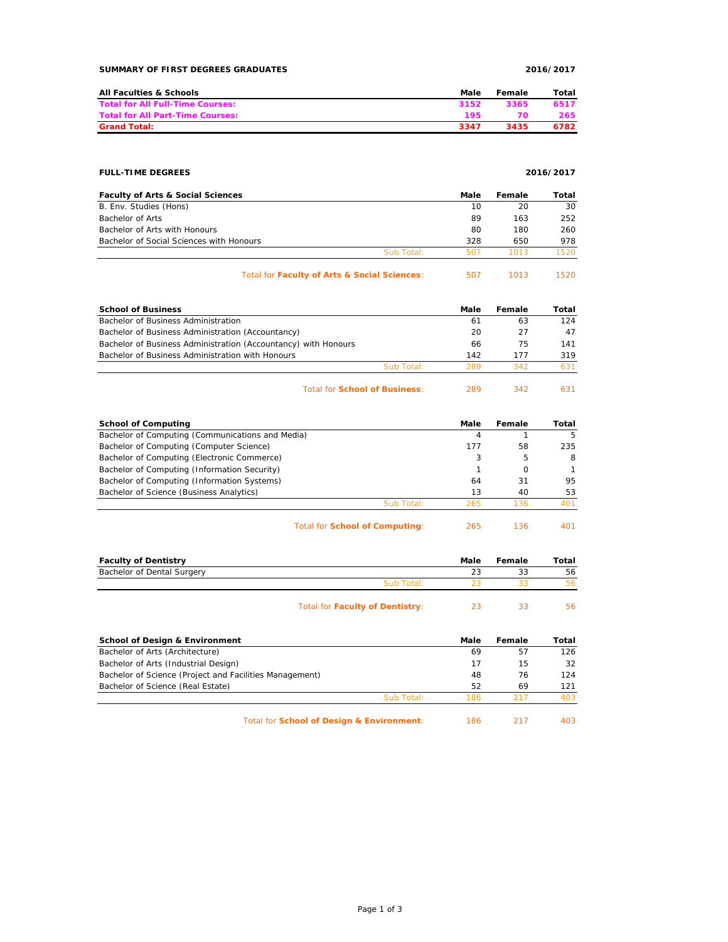| SUMMARY OF FIRST DEGREES GRADUATES | 2016/2017 |
|------------------------------------|-----------|
|                                    |           |

| All Faculties & Schools                 | Male | Female | Total |
|-----------------------------------------|------|--------|-------|
| <b>Total for All Full-Time Courses:</b> | 3152 | 3365   | 6517  |
| <b>Total for All Part-Time Courses:</b> | 195  | 70     | 265   |
| <b>Grand Total:</b>                     | 3347 | 3435   | 6782  |

### **FULL-TIME DEGREES 2016/2017**

| <b>Faculty of Arts &amp; Social Sciences</b> |            | Male | Female | Total |
|----------------------------------------------|------------|------|--------|-------|
| B. Env. Studies (Hons)                       |            | 10   | 20     | 30    |
| Bachelor of Arts                             |            | 89   | 163    | 252   |
| Bachelor of Arts with Honours                |            | 80   | 180    | 260   |
| Bachelor of Social Sciences with Honours     |            | 328  | 650    | 978   |
|                                              | Sub Total: | 507  | 1013   | 1520  |
| _  _                                         |            |      |        |       |

| Total for Faculty of Arts & Social Sciences: | 507 | 1013 | 1520 |
|----------------------------------------------|-----|------|------|
|----------------------------------------------|-----|------|------|

| <b>School of Business</b>                                      |            | Male | Female | Total |
|----------------------------------------------------------------|------------|------|--------|-------|
| Bachelor of Business Administration                            |            | 61   | 63     | 124   |
| Bachelor of Business Administration (Accountancy)              |            | 20   | 27     | 47    |
| Bachelor of Business Administration (Accountancy) with Honours |            | 66   | 75     | 141   |
| Bachelor of Business Administration with Honours               |            | 142  | 177    | 319   |
|                                                                | Sub Total: | 289  | 342    | 631   |
|                                                                |            |      |        |       |

## Total for **School of Business**: 289 342 631

| <b>School of Computing</b>                       |            | Male | Female   | Total |
|--------------------------------------------------|------------|------|----------|-------|
| Bachelor of Computing (Communications and Media) |            | 4    |          | 5     |
| Bachelor of Computing (Computer Science)         |            | 177  | 58       | 235   |
| Bachelor of Computing (Electronic Commerce)      |            | 3    | 5        | 8     |
| Bachelor of Computing (Information Security)     |            |      | $\Omega$ |       |
| Bachelor of Computing (Information Systems)      |            | 64   | 31       | 95    |
| Bachelor of Science (Business Analytics)         |            | 13   | 40       | 53    |
|                                                  | Sub Total: | 265  | 136      | 401   |
|                                                  |            |      |          |       |

Total for **School of Computing**: 265 136 401

| <b>Faculty of Dentistry</b> |                                        | Male | Female | Total |
|-----------------------------|----------------------------------------|------|--------|-------|
| Bachelor of Dental Surgery  |                                        | 23   | 33     | 56    |
|                             | Sub Total:                             |      |        | 56.   |
|                             | <b>Total for Faculty of Dentistry:</b> |      |        | 56.   |

# **School of Design & Environment Community Community Community Community Community Community Community Community** Bachelor of Arts (Architecture) 69 57 126 Bachelor of Arts (Industrial Design) 17 15 32 Bachelor of Science (Project and Facilities Management) 48 76 124 Bachelor of Science (Real Estate) 52 69 121 Sub Total: 186 217 403

Total for **School of Design & Environment**: 186 217 403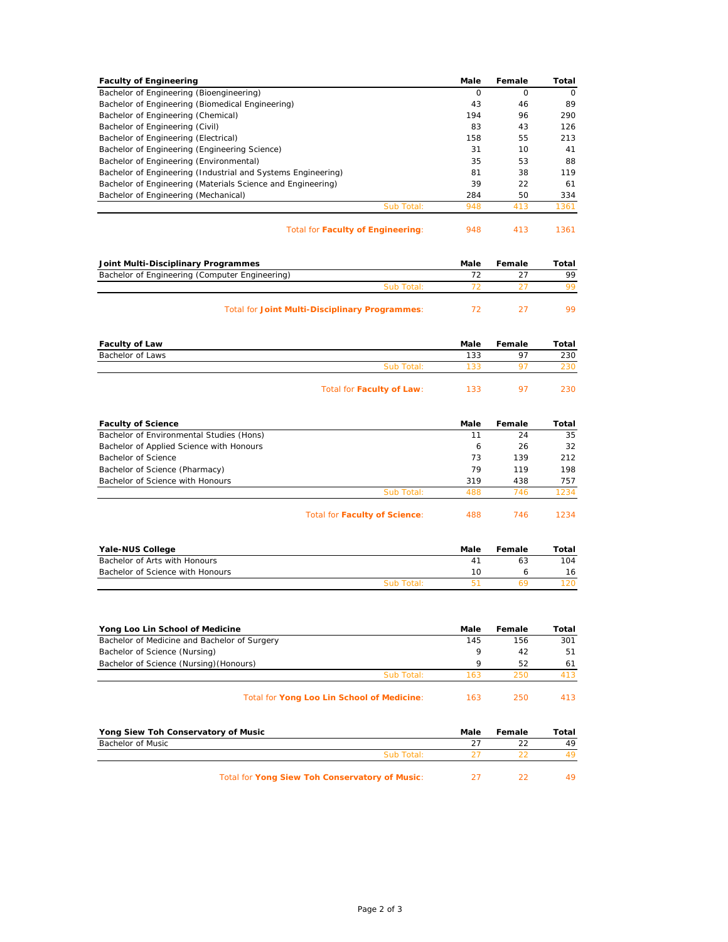| <b>Faculty of Engineering</b>                                |            | Male | Female   | Total    |
|--------------------------------------------------------------|------------|------|----------|----------|
| Bachelor of Engineering (Bioengineering)                     |            | O    | $\Omega$ | $\Omega$ |
| Bachelor of Engineering (Biomedical Engineering)             |            | 43   | 46       | 89       |
| Bachelor of Engineering (Chemical)                           |            | 194  | 96       | 290      |
| Bachelor of Engineering (Civil)                              |            | 83   | 43       | 126      |
| Bachelor of Engineering (Electrical)                         |            | 158  | 55       | 213      |
| Bachelor of Engineering (Engineering Science)                |            | 31   | 10       | 41       |
| Bachelor of Engineering (Environmental)                      |            | 35   | 53       | 88       |
| Bachelor of Engineering (Industrial and Systems Engineering) |            | 81   | 38       | 119      |
| Bachelor of Engineering (Materials Science and Engineering)  |            | 39   | 22       | 61       |
| Bachelor of Engineering (Mechanical)                         |            | 284  | 50       | 334      |
|                                                              | Sub Total: | 948  | 413      | 1361     |
|                                                              |            |      |          |          |

Total for **Faculty of Engineering**: 948 413 1361

| Joint Multi-Disciplinary Programmes                   | Male | Female | Total |
|-------------------------------------------------------|------|--------|-------|
| Bachelor of Engineering (Computer Engineering)        |      |        | 99    |
| Sub Total:                                            |      |        | QQ    |
| <b>Total for Joint Multi-Disciplinary Programmes:</b> |      |        | 99.   |

| <b>Faculty of Law</b> |                           | Male | Female         | Total |
|-----------------------|---------------------------|------|----------------|-------|
| Bachelor of Laws      |                           | 133  | 97             | 230   |
|                       | Sub Total:                | 133  | Q <sub>7</sub> | 230   |
|                       | Total for Faculty of Law: | 133  | 97             | 230   |

| <b>Faculty of Science</b>                |                                      | Male | Female | Total |
|------------------------------------------|--------------------------------------|------|--------|-------|
| Bachelor of Environmental Studies (Hons) |                                      | 11   | 24     | 35    |
| Bachelor of Applied Science with Honours |                                      | 6    | 26     | 32    |
| Bachelor of Science                      |                                      | 73   | 139    | 212   |
| Bachelor of Science (Pharmacy)           |                                      | 79   | 119    | 198   |
| Bachelor of Science with Honours         |                                      | 319  | 438    | 757   |
|                                          | Sub Total:                           | 488  | 746    | 1234  |
|                                          | <b>Total for Faculty of Science:</b> | 488  | 746    | 1234  |

| Yale-NUS College                 |            | Male                 | Female | Total |
|----------------------------------|------------|----------------------|--------|-------|
| Bachelor of Arts with Honours    |            | $\mathbf{\Lambda}^*$ | 63     | 104   |
| Bachelor of Science with Honours |            | 10                   |        | 16    |
|                                  | Sub Total: |                      |        |       |

| Yong Loo Lin School of Medicine              | Male | Female | Total |
|----------------------------------------------|------|--------|-------|
| Bachelor of Medicine and Bachelor of Surgery | 145  | 156    | 301   |
| Bachelor of Science (Nursing)                | Q    | 42     | 51    |
| Bachelor of Science (Nursing) (Honours)      | Q    | 52     | 61    |
| Sub Total:                                   | 163  | 250    | 413   |
| Total for Yong Loo Lin School of Medicine:   | 163  | 250    | 413   |

| Yong Siew Toh Conservatory of Music            | Male | Female | Total |
|------------------------------------------------|------|--------|-------|
| Bachelor of Music                              |      |        | 49    |
| Sub Total:                                     |      |        |       |
| Total for Yong Siew Toh Conservatory of Music: |      |        | 49    |